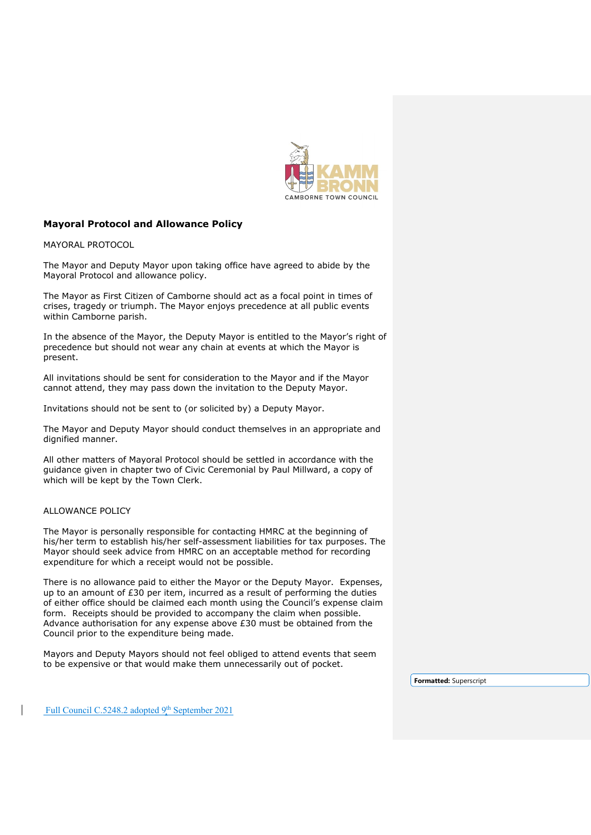

## **Mayoral Protocol and Allowance Policy**

MAYORAL PROTOCOL

The Mayor and Deputy Mayor upon taking office have agreed to abide by the Mayoral Protocol and allowance policy.

The Mayor as First Citizen of Camborne should act as a focal point in times of crises, tragedy or triumph. The Mayor enjoys precedence at all public events within Camborne parish.

In the absence of the Mayor, the Deputy Mayor is entitled to the Mayor's right of precedence but should not wear any chain at events at which the Mayor is present.

All invitations should be sent for consideration to the Mayor and if the Mayor cannot attend, they may pass down the invitation to the Deputy Mayor.

Invitations should not be sent to (or solicited by) a Deputy Mayor.

The Mayor and Deputy Mayor should conduct themselves in an appropriate and dignified manner.

All other matters of Mayoral Protocol should be settled in accordance with the guidance given in chapter two of Civic Ceremonial by Paul Millward, a copy of which will be kept by the Town Clerk.

## ALLOWANCE POLICY

The Mayor is personally responsible for contacting HMRC at the beginning of his/her term to establish his/her self-assessment liabilities for tax purposes. The Mayor should seek advice from HMRC on an acceptable method for recording expenditure for which a receipt would not be possible.

There is no allowance paid to either the Mayor or the Deputy Mayor. Expenses, up to an amount of £30 per item, incurred as a result of performing the duties of either office should be claimed each month using the Council's expense claim form. Receipts should be provided to accompany the claim when possible. Advance authorisation for any expense above £30 must be obtained from the Council prior to the expenditure being made.

Mayors and Deputy Mayors should not feel obliged to attend events that seem to be expensive or that would make them unnecessarily out of pocket.

**Formatted:** Superscript